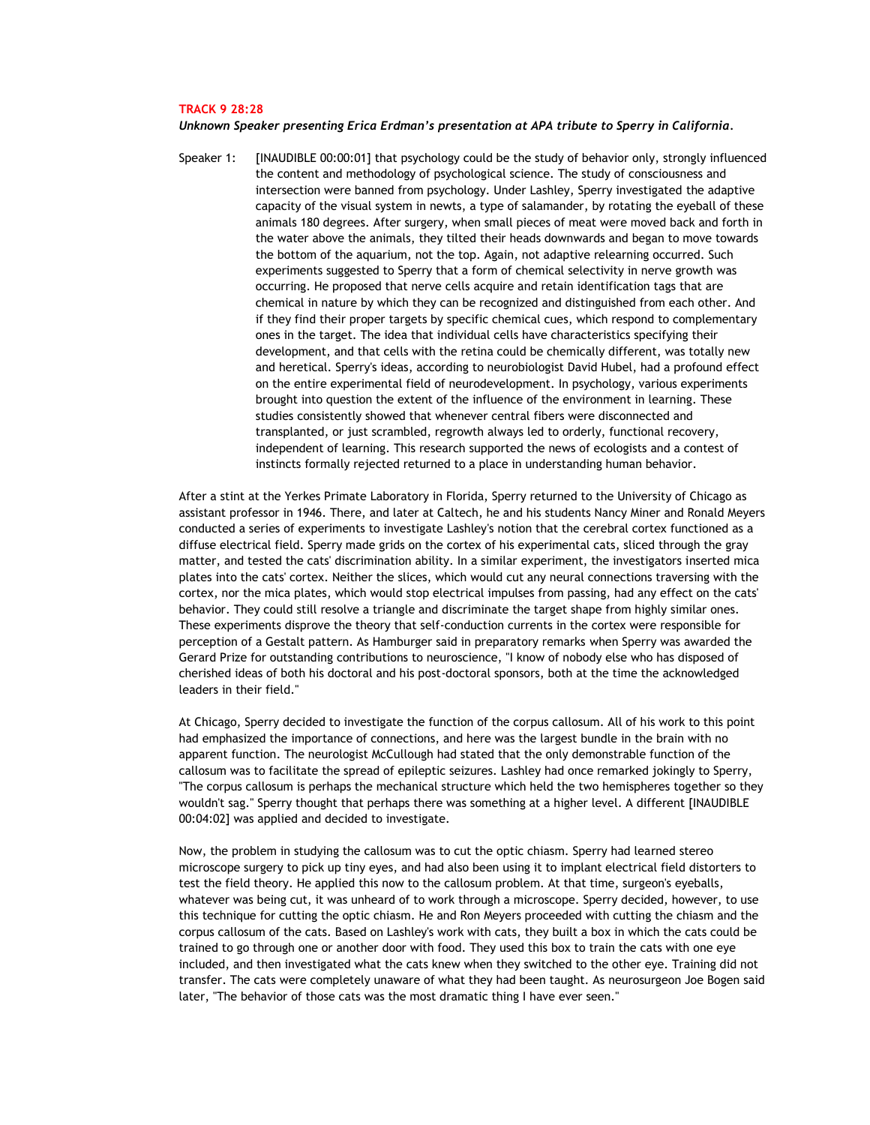## **TRACK 9 28:28**

## *Unknown Speaker presenting Erica Erdman's presentation at APA tribute to Sperry in California.*

Speaker 1: [INAUDIBLE 00:00:01] that psychology could be the study of behavior only, strongly influenced the content and methodology of psychological science. The study of consciousness and intersection were banned from psychology. Under Lashley, Sperry investigated the adaptive capacity of the visual system in newts, a type of salamander, by rotating the eyeball of these animals 180 degrees. After surgery, when small pieces of meat were moved back and forth in the water above the animals, they tilted their heads downwards and began to move towards the bottom of the aquarium, not the top. Again, not adaptive relearning occurred. Such experiments suggested to Sperry that a form of chemical selectivity in nerve growth was occurring. He proposed that nerve cells acquire and retain identification tags that are chemical in nature by which they can be recognized and distinguished from each other. And if they find their proper targets by specific chemical cues, which respond to complementary ones in the target. The idea that individual cells have characteristics specifying their development, and that cells with the retina could be chemically different, was totally new and heretical. Sperry's ideas, according to neurobiologist David Hubel, had a profound effect on the entire experimental field of neurodevelopment. In psychology, various experiments brought into question the extent of the influence of the environment in learning. These studies consistently showed that whenever central fibers were disconnected and transplanted, or just scrambled, regrowth always led to orderly, functional recovery, independent of learning. This research supported the news of ecologists and a contest of instincts formally rejected returned to a place in understanding human behavior.

After a stint at the Yerkes Primate Laboratory in Florida, Sperry returned to the University of Chicago as assistant professor in 1946. There, and later at Caltech, he and his students Nancy Miner and Ronald Meyers conducted a series of experiments to investigate Lashley's notion that the cerebral cortex functioned as a diffuse electrical field. Sperry made grids on the cortex of his experimental cats, sliced through the gray matter, and tested the cats' discrimination ability. In a similar experiment, the investigators inserted mica plates into the cats' cortex. Neither the slices, which would cut any neural connections traversing with the cortex, nor the mica plates, which would stop electrical impulses from passing, had any effect on the cats' behavior. They could still resolve a triangle and discriminate the target shape from highly similar ones. These experiments disprove the theory that self-conduction currents in the cortex were responsible for perception of a Gestalt pattern. As Hamburger said in preparatory remarks when Sperry was awarded the Gerard Prize for outstanding contributions to neuroscience, "I know of nobody else who has disposed of cherished ideas of both his doctoral and his post-doctoral sponsors, both at the time the acknowledged leaders in their field."

At Chicago, Sperry decided to investigate the function of the corpus callosum. All of his work to this point had emphasized the importance of connections, and here was the largest bundle in the brain with no apparent function. The neurologist McCullough had stated that the only demonstrable function of the callosum was to facilitate the spread of epileptic seizures. Lashley had once remarked jokingly to Sperry, "The corpus callosum is perhaps the mechanical structure which held the two hemispheres together so they wouldn't sag." Sperry thought that perhaps there was something at a higher level. A different [INAUDIBLE 00:04:02] was applied and decided to investigate.

Now, the problem in studying the callosum was to cut the optic chiasm. Sperry had learned stereo microscope surgery to pick up tiny eyes, and had also been using it to implant electrical field distorters to test the field theory. He applied this now to the callosum problem. At that time, surgeon's eyeballs, whatever was being cut, it was unheard of to work through a microscope. Sperry decided, however, to use this technique for cutting the optic chiasm. He and Ron Meyers proceeded with cutting the chiasm and the corpus callosum of the cats. Based on Lashley's work with cats, they built a box in which the cats could be trained to go through one or another door with food. They used this box to train the cats with one eye included, and then investigated what the cats knew when they switched to the other eye. Training did not transfer. The cats were completely unaware of what they had been taught. As neurosurgeon Joe Bogen said later, "The behavior of those cats was the most dramatic thing I have ever seen."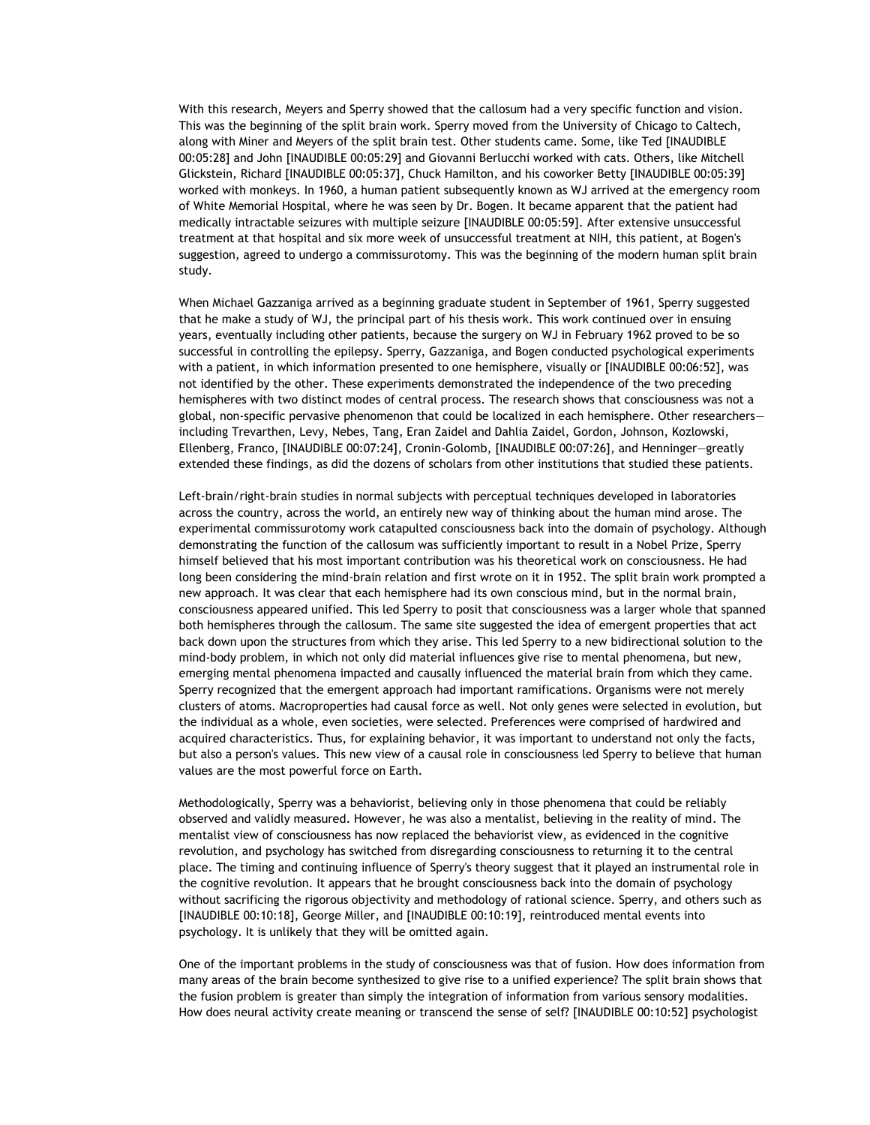With this research, Meyers and Sperry showed that the callosum had a very specific function and vision. This was the beginning of the split brain work. Sperry moved from the University of Chicago to Caltech, along with Miner and Meyers of the split brain test. Other students came. Some, like Ted [INAUDIBLE 00:05:28] and John [INAUDIBLE 00:05:29] and Giovanni Berlucchi worked with cats. Others, like Mitchell Glickstein, Richard [INAUDIBLE 00:05:37], Chuck Hamilton, and his coworker Betty [INAUDIBLE 00:05:39] worked with monkeys. In 1960, a human patient subsequently known as WJ arrived at the emergency room of White Memorial Hospital, where he was seen by Dr. Bogen. It became apparent that the patient had medically intractable seizures with multiple seizure [INAUDIBLE 00:05:59]. After extensive unsuccessful treatment at that hospital and six more week of unsuccessful treatment at NIH, this patient, at Bogen's suggestion, agreed to undergo a commissurotomy. This was the beginning of the modern human split brain study.

When Michael Gazzaniga arrived as a beginning graduate student in September of 1961, Sperry suggested that he make a study of WJ, the principal part of his thesis work. This work continued over in ensuing years, eventually including other patients, because the surgery on WJ in February 1962 proved to be so successful in controlling the epilepsy. Sperry, Gazzaniga, and Bogen conducted psychological experiments with a patient, in which information presented to one hemisphere, visually or [INAUDIBLE 00:06:52], was not identified by the other. These experiments demonstrated the independence of the two preceding hemispheres with two distinct modes of central process. The research shows that consciousness was not a global, non-specific pervasive phenomenon that could be localized in each hemisphere. Other researchers including Trevarthen, Levy, Nebes, Tang, Eran Zaidel and Dahlia Zaidel, Gordon, Johnson, Kozlowski, Ellenberg, Franco, [INAUDIBLE 00:07:24], Cronin-Golomb, [INAUDIBLE 00:07:26], and Henninger—greatly extended these findings, as did the dozens of scholars from other institutions that studied these patients.

Left-brain/right-brain studies in normal subjects with perceptual techniques developed in laboratories across the country, across the world, an entirely new way of thinking about the human mind arose. The experimental commissurotomy work catapulted consciousness back into the domain of psychology. Although demonstrating the function of the callosum was sufficiently important to result in a Nobel Prize, Sperry himself believed that his most important contribution was his theoretical work on consciousness. He had long been considering the mind-brain relation and first wrote on it in 1952. The split brain work prompted a new approach. It was clear that each hemisphere had its own conscious mind, but in the normal brain, consciousness appeared unified. This led Sperry to posit that consciousness was a larger whole that spanned both hemispheres through the callosum. The same site suggested the idea of emergent properties that act back down upon the structures from which they arise. This led Sperry to a new bidirectional solution to the mind-body problem, in which not only did material influences give rise to mental phenomena, but new, emerging mental phenomena impacted and causally influenced the material brain from which they came. Sperry recognized that the emergent approach had important ramifications. Organisms were not merely clusters of atoms. Macroproperties had causal force as well. Not only genes were selected in evolution, but the individual as a whole, even societies, were selected. Preferences were comprised of hardwired and acquired characteristics. Thus, for explaining behavior, it was important to understand not only the facts, but also a person's values. This new view of a causal role in consciousness led Sperry to believe that human values are the most powerful force on Earth.

Methodologically, Sperry was a behaviorist, believing only in those phenomena that could be reliably observed and validly measured. However, he was also a mentalist, believing in the reality of mind. The mentalist view of consciousness has now replaced the behaviorist view, as evidenced in the cognitive revolution, and psychology has switched from disregarding consciousness to returning it to the central place. The timing and continuing influence of Sperry's theory suggest that it played an instrumental role in the cognitive revolution. It appears that he brought consciousness back into the domain of psychology without sacrificing the rigorous objectivity and methodology of rational science. Sperry, and others such as [INAUDIBLE 00:10:18], George Miller, and [INAUDIBLE 00:10:19], reintroduced mental events into psychology. It is unlikely that they will be omitted again.

One of the important problems in the study of consciousness was that of fusion. How does information from many areas of the brain become synthesized to give rise to a unified experience? The split brain shows that the fusion problem is greater than simply the integration of information from various sensory modalities. How does neural activity create meaning or transcend the sense of self? [INAUDIBLE 00:10:52] psychologist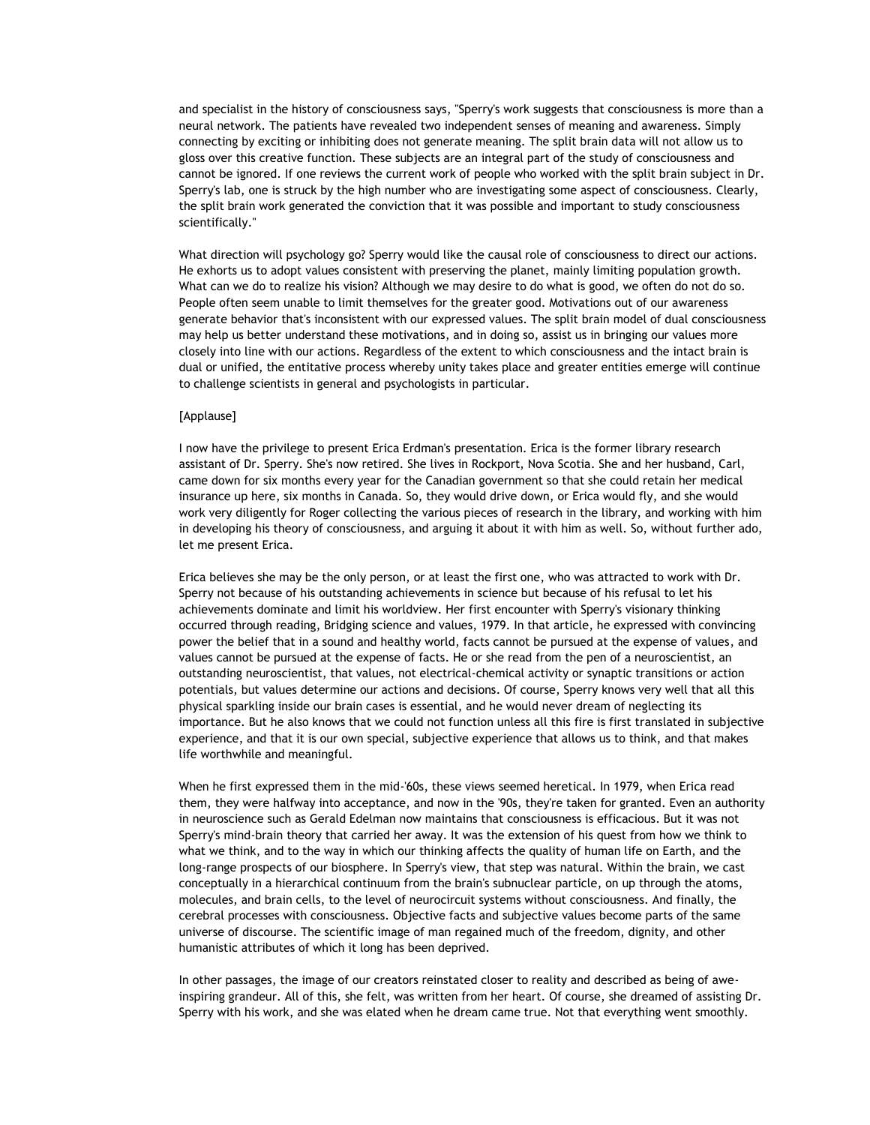and specialist in the history of consciousness says, "Sperry's work suggests that consciousness is more than a neural network. The patients have revealed two independent senses of meaning and awareness. Simply connecting by exciting or inhibiting does not generate meaning. The split brain data will not allow us to gloss over this creative function. These subjects are an integral part of the study of consciousness and cannot be ignored. If one reviews the current work of people who worked with the split brain subject in Dr. Sperry's lab, one is struck by the high number who are investigating some aspect of consciousness. Clearly, the split brain work generated the conviction that it was possible and important to study consciousness scientifically."

What direction will psychology go? Sperry would like the causal role of consciousness to direct our actions. He exhorts us to adopt values consistent with preserving the planet, mainly limiting population growth. What can we do to realize his vision? Although we may desire to do what is good, we often do not do so. People often seem unable to limit themselves for the greater good. Motivations out of our awareness generate behavior that's inconsistent with our expressed values. The split brain model of dual consciousness may help us better understand these motivations, and in doing so, assist us in bringing our values more closely into line with our actions. Regardless of the extent to which consciousness and the intact brain is dual or unified, the entitative process whereby unity takes place and greater entities emerge will continue to challenge scientists in general and psychologists in particular.

## [Applause]

I now have the privilege to present Erica Erdman's presentation. Erica is the former library research assistant of Dr. Sperry. She's now retired. She lives in Rockport, Nova Scotia. She and her husband, Carl, came down for six months every year for the Canadian government so that she could retain her medical insurance up here, six months in Canada. So, they would drive down, or Erica would fly, and she would work very diligently for Roger collecting the various pieces of research in the library, and working with him in developing his theory of consciousness, and arguing it about it with him as well. So, without further ado, let me present Erica.

Erica believes she may be the only person, or at least the first one, who was attracted to work with Dr. Sperry not because of his outstanding achievements in science but because of his refusal to let his achievements dominate and limit his worldview. Her first encounter with Sperry's visionary thinking occurred through reading, Bridging science and values, 1979. In that article, he expressed with convincing power the belief that in a sound and healthy world, facts cannot be pursued at the expense of values, and values cannot be pursued at the expense of facts. He or she read from the pen of a neuroscientist, an outstanding neuroscientist, that values, not electrical-chemical activity or synaptic transitions or action potentials, but values determine our actions and decisions. Of course, Sperry knows very well that all this physical sparkling inside our brain cases is essential, and he would never dream of neglecting its importance. But he also knows that we could not function unless all this fire is first translated in subjective experience, and that it is our own special, subjective experience that allows us to think, and that makes life worthwhile and meaningful.

When he first expressed them in the mid-'60s, these views seemed heretical. In 1979, when Erica read them, they were halfway into acceptance, and now in the '90s, they're taken for granted. Even an authority in neuroscience such as Gerald Edelman now maintains that consciousness is efficacious. But it was not Sperry's mind-brain theory that carried her away. It was the extension of his quest from how we think to what we think, and to the way in which our thinking affects the quality of human life on Earth, and the long-range prospects of our biosphere. In Sperry's view, that step was natural. Within the brain, we cast conceptually in a hierarchical continuum from the brain's subnuclear particle, on up through the atoms, molecules, and brain cells, to the level of neurocircuit systems without consciousness. And finally, the cerebral processes with consciousness. Objective facts and subjective values become parts of the same universe of discourse. The scientific image of man regained much of the freedom, dignity, and other humanistic attributes of which it long has been deprived.

In other passages, the image of our creators reinstated closer to reality and described as being of aweinspiring grandeur. All of this, she felt, was written from her heart. Of course, she dreamed of assisting Dr. Sperry with his work, and she was elated when he dream came true. Not that everything went smoothly.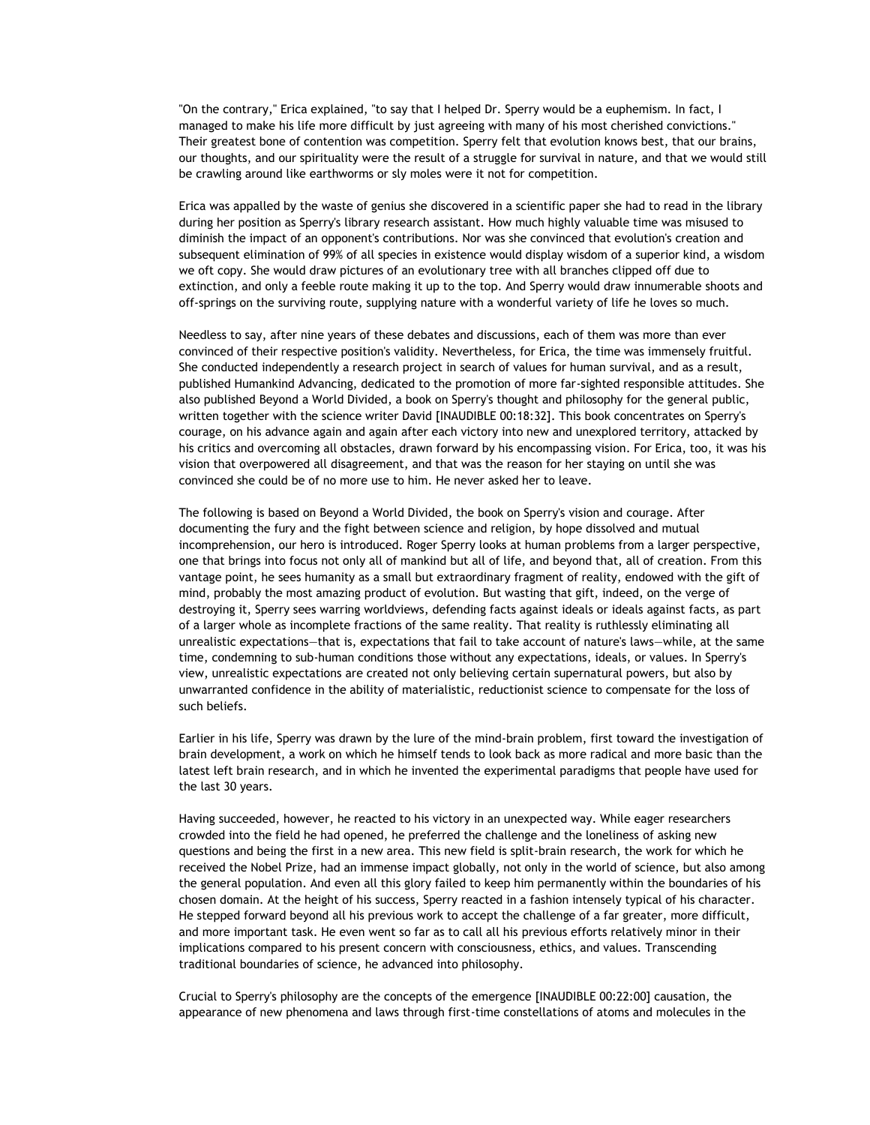"On the contrary," Erica explained, "to say that I helped Dr. Sperry would be a euphemism. In fact, I managed to make his life more difficult by just agreeing with many of his most cherished convictions." Their greatest bone of contention was competition. Sperry felt that evolution knows best, that our brains, our thoughts, and our spirituality were the result of a struggle for survival in nature, and that we would still be crawling around like earthworms or sly moles were it not for competition.

Erica was appalled by the waste of genius she discovered in a scientific paper she had to read in the library during her position as Sperry's library research assistant. How much highly valuable time was misused to diminish the impact of an opponent's contributions. Nor was she convinced that evolution's creation and subsequent elimination of 99% of all species in existence would display wisdom of a superior kind, a wisdom we oft copy. She would draw pictures of an evolutionary tree with all branches clipped off due to extinction, and only a feeble route making it up to the top. And Sperry would draw innumerable shoots and off-springs on the surviving route, supplying nature with a wonderful variety of life he loves so much.

Needless to say, after nine years of these debates and discussions, each of them was more than ever convinced of their respective position's validity. Nevertheless, for Erica, the time was immensely fruitful. She conducted independently a research project in search of values for human survival, and as a result, published Humankind Advancing, dedicated to the promotion of more far-sighted responsible attitudes. She also published Beyond a World Divided, a book on Sperry's thought and philosophy for the general public, written together with the science writer David [INAUDIBLE 00:18:32]. This book concentrates on Sperry's courage, on his advance again and again after each victory into new and unexplored territory, attacked by his critics and overcoming all obstacles, drawn forward by his encompassing vision. For Erica, too, it was his vision that overpowered all disagreement, and that was the reason for her staying on until she was convinced she could be of no more use to him. He never asked her to leave.

The following is based on Beyond a World Divided, the book on Sperry's vision and courage. After documenting the fury and the fight between science and religion, by hope dissolved and mutual incomprehension, our hero is introduced. Roger Sperry looks at human problems from a larger perspective, one that brings into focus not only all of mankind but all of life, and beyond that, all of creation. From this vantage point, he sees humanity as a small but extraordinary fragment of reality, endowed with the gift of mind, probably the most amazing product of evolution. But wasting that gift, indeed, on the verge of destroying it, Sperry sees warring worldviews, defending facts against ideals or ideals against facts, as part of a larger whole as incomplete fractions of the same reality. That reality is ruthlessly eliminating all unrealistic expectations—that is, expectations that fail to take account of nature's laws—while, at the same time, condemning to sub-human conditions those without any expectations, ideals, or values. In Sperry's view, unrealistic expectations are created not only believing certain supernatural powers, but also by unwarranted confidence in the ability of materialistic, reductionist science to compensate for the loss of such beliefs.

Earlier in his life, Sperry was drawn by the lure of the mind-brain problem, first toward the investigation of brain development, a work on which he himself tends to look back as more radical and more basic than the latest left brain research, and in which he invented the experimental paradigms that people have used for the last 30 years.

Having succeeded, however, he reacted to his victory in an unexpected way. While eager researchers crowded into the field he had opened, he preferred the challenge and the loneliness of asking new questions and being the first in a new area. This new field is split-brain research, the work for which he received the Nobel Prize, had an immense impact globally, not only in the world of science, but also among the general population. And even all this glory failed to keep him permanently within the boundaries of his chosen domain. At the height of his success, Sperry reacted in a fashion intensely typical of his character. He stepped forward beyond all his previous work to accept the challenge of a far greater, more difficult, and more important task. He even went so far as to call all his previous efforts relatively minor in their implications compared to his present concern with consciousness, ethics, and values. Transcending traditional boundaries of science, he advanced into philosophy.

Crucial to Sperry's philosophy are the concepts of the emergence [INAUDIBLE 00:22:00] causation, the appearance of new phenomena and laws through first-time constellations of atoms and molecules in the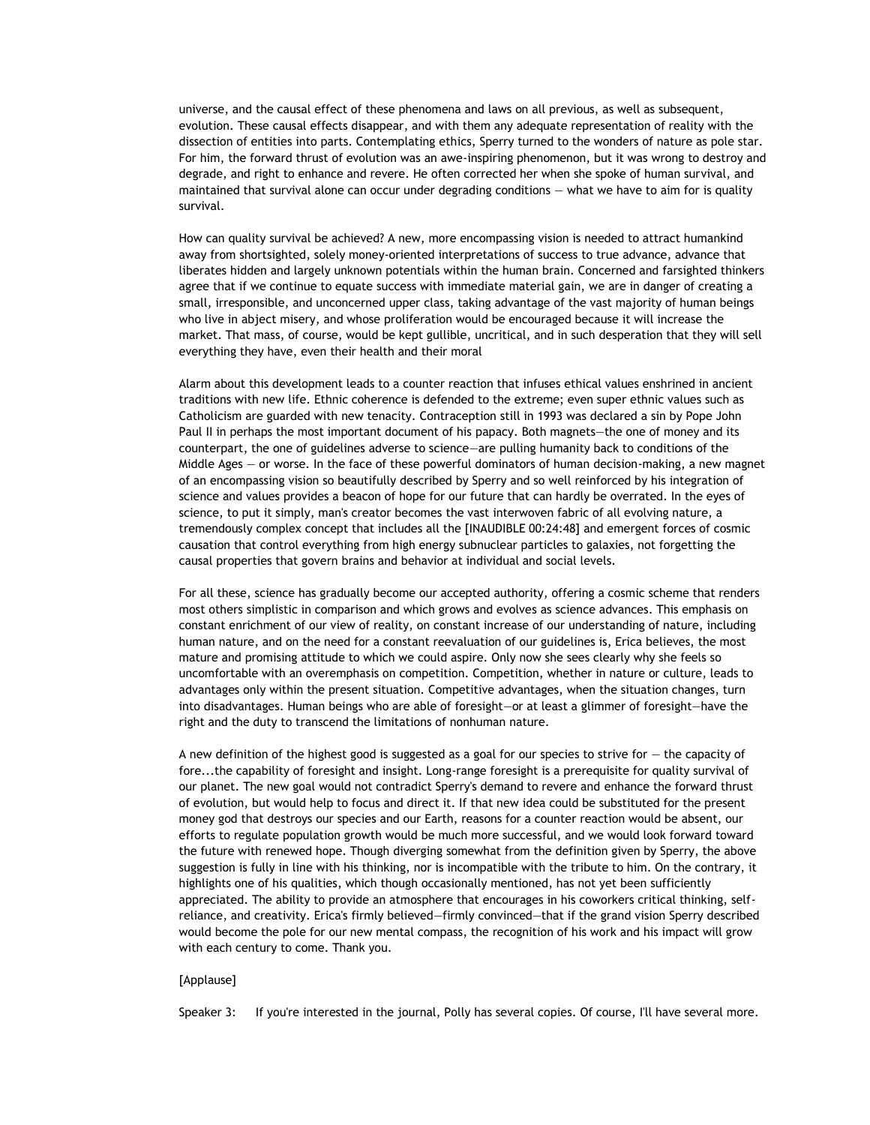universe, and the causal effect of these phenomena and laws on all previous, as well as subsequent, evolution. These causal effects disappear, and with them any adequate representation of reality with the dissection of entities into parts. Contemplating ethics, Sperry turned to the wonders of nature as pole star. For him, the forward thrust of evolution was an awe-inspiring phenomenon, but it was wrong to destroy and degrade, and right to enhance and revere. He often corrected her when she spoke of human survival, and maintained that survival alone can occur under degrading conditions — what we have to aim for is quality survival.

How can quality survival be achieved? A new, more encompassing vision is needed to attract humankind away from shortsighted, solely money-oriented interpretations of success to true advance, advance that liberates hidden and largely unknown potentials within the human brain. Concerned and farsighted thinkers agree that if we continue to equate success with immediate material gain, we are in danger of creating a small, irresponsible, and unconcerned upper class, taking advantage of the vast majority of human beings who live in abject misery, and whose proliferation would be encouraged because it will increase the market. That mass, of course, would be kept gullible, uncritical, and in such desperation that they will sell everything they have, even their health and their moral

Alarm about this development leads to a counter reaction that infuses ethical values enshrined in ancient traditions with new life. Ethnic coherence is defended to the extreme; even super ethnic values such as Catholicism are guarded with new tenacity. Contraception still in 1993 was declared a sin by Pope John Paul II in perhaps the most important document of his papacy. Both magnets—the one of money and its counterpart, the one of guidelines adverse to science—are pulling humanity back to conditions of the Middle Ages — or worse. In the face of these powerful dominators of human decision-making, a new magnet of an encompassing vision so beautifully described by Sperry and so well reinforced by his integration of science and values provides a beacon of hope for our future that can hardly be overrated. In the eyes of science, to put it simply, man's creator becomes the vast interwoven fabric of all evolving nature, a tremendously complex concept that includes all the [INAUDIBLE 00:24:48] and emergent forces of cosmic causation that control everything from high energy subnuclear particles to galaxies, not forgetting the causal properties that govern brains and behavior at individual and social levels.

For all these, science has gradually become our accepted authority, offering a cosmic scheme that renders most others simplistic in comparison and which grows and evolves as science advances. This emphasis on constant enrichment of our view of reality, on constant increase of our understanding of nature, including human nature, and on the need for a constant reevaluation of our guidelines is, Erica believes, the most mature and promising attitude to which we could aspire. Only now she sees clearly why she feels so uncomfortable with an overemphasis on competition. Competition, whether in nature or culture, leads to advantages only within the present situation. Competitive advantages, when the situation changes, turn into disadvantages. Human beings who are able of foresight—or at least a glimmer of foresight—have the right and the duty to transcend the limitations of nonhuman nature.

A new definition of the highest good is suggested as a goal for our species to strive for — the capacity of fore...the capability of foresight and insight. Long-range foresight is a prerequisite for quality survival of our planet. The new goal would not contradict Sperry's demand to revere and enhance the forward thrust of evolution, but would help to focus and direct it. If that new idea could be substituted for the present money god that destroys our species and our Earth, reasons for a counter reaction would be absent, our efforts to regulate population growth would be much more successful, and we would look forward toward the future with renewed hope. Though diverging somewhat from the definition given by Sperry, the above suggestion is fully in line with his thinking, nor is incompatible with the tribute to him. On the contrary, it highlights one of his qualities, which though occasionally mentioned, has not yet been sufficiently appreciated. The ability to provide an atmosphere that encourages in his coworkers critical thinking, selfreliance, and creativity. Erica's firmly believed—firmly convinced—that if the grand vision Sperry described would become the pole for our new mental compass, the recognition of his work and his impact will grow with each century to come. Thank you.

## [Applause]

Speaker 3: If you're interested in the journal, Polly has several copies. Of course, I'll have several more.